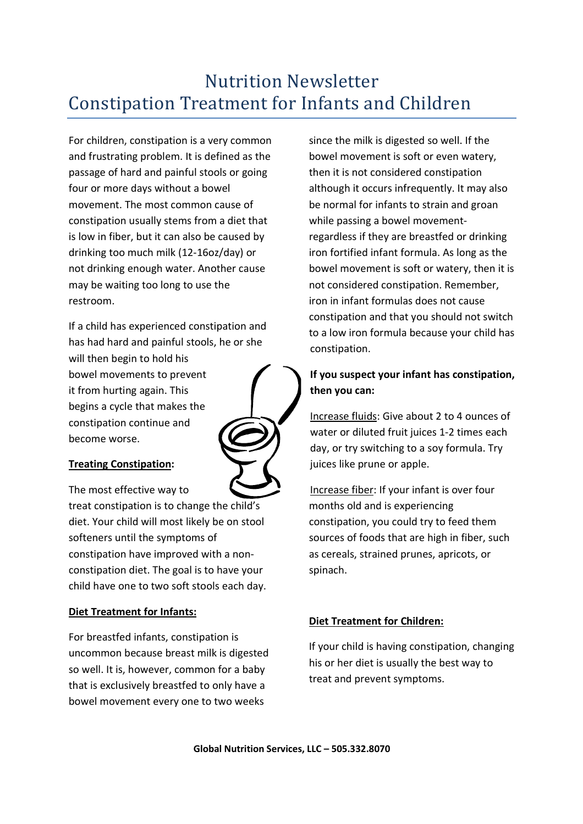# Nutrition Newsletter Constipation Treatment for Infants and Children

For children, constipation is a very common and frustrating problem. It is defined as the passage of hard and painful stools or going four or more days without a bowel movement. The most common cause of constipation usually stems from a diet that is low in fiber, but it can also be caused by drinking too much milk (12-16oz/day) or not drinking enough water. Another cause may be waiting too long to use the restroom.

If a child has experienced constipation and has had hard and painful stools, he or she

will then begin to hold his bowel movements to prevent it from hurting again. This begins a cycle that makes the constipation continue and become worse.

## **Treating Constipation:**

The most effective way to treat constipation is to change the child's diet. Your child will most likely be on stool softeners until the symptoms of constipation have improved with a nonconstipation diet. The goal is to have your child have one to two soft stools each day.

## **Diet Treatment for Infants:**

For breastfed infants, constipation is uncommon because breast milk is digested so well. It is, however, common for a baby that is exclusively breastfed to only have a bowel movement every one to two weeks

since the milk is digested so well. If the bowel movement is soft or even watery, then it is not considered constipation although it occurs infrequently. It may also be normal for infants to strain and groan while passing a bowel movementregardless if they are breastfed or drinking iron fortified infant formula. As long as the bowel movement is soft or watery, then it is not considered constipation. Remember, iron in infant formulas does not cause constipation and that you should not switch to a low iron formula because your child has constipation.

# **If you suspect your infant has constipation, then you can:**

Increase fluids: Give about 2 to 4 ounces of water or diluted fruit juices 1-2 times each day, or try switching to a soy formula. Try juices like prune or apple.

Increase fiber: If your infant is over four months old and is experiencing constipation, you could try to feed them sources of foods that are high in fiber, such as cereals, strained prunes, apricots, or spinach.

## **Diet Treatment for Children:**

If your child is having constipation, changing his or her diet is usually the best way to treat and prevent symptoms.